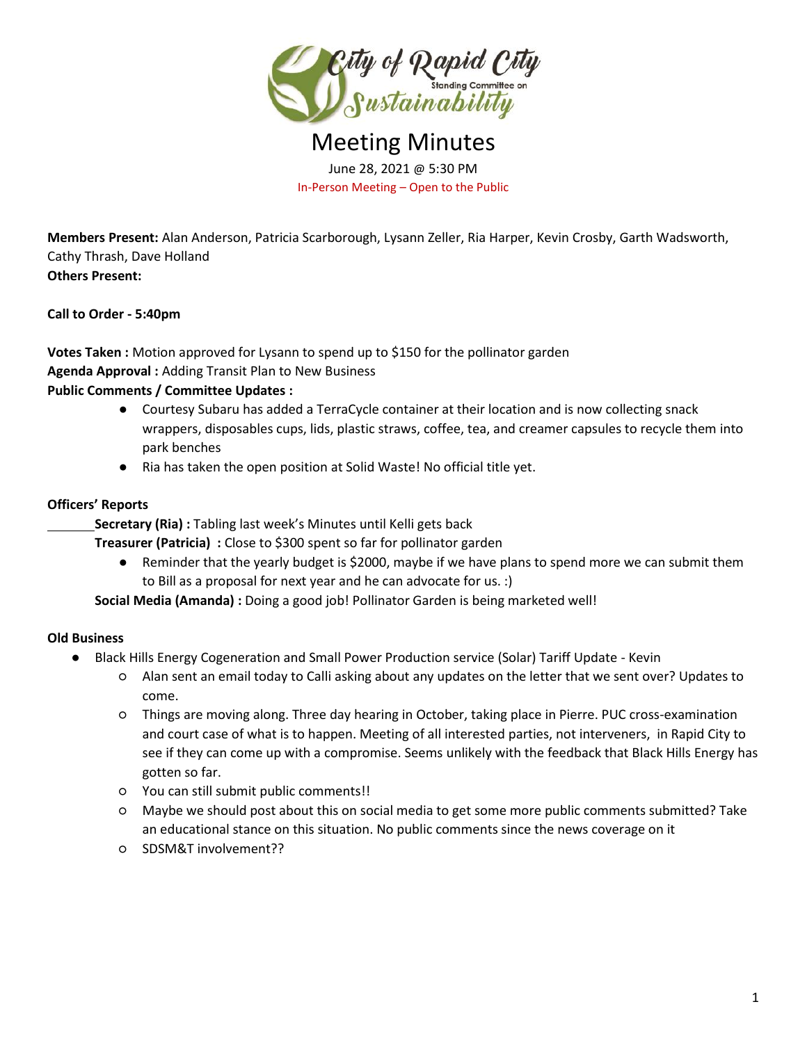

Meeting Minutes June 28, 2021 @ 5:30 PM In-Person Meeting – Open to the Public

**Members Present:** Alan Anderson, Patricia Scarborough, Lysann Zeller, Ria Harper, Kevin Crosby, Garth Wadsworth, Cathy Thrash, Dave Holland **Others Present:** 

**Call to Order - 5:40pm**

**Votes Taken :** Motion approved for Lysann to spend up to \$150 for the pollinator garden **Agenda Approval :** Adding Transit Plan to New Business **Public Comments / Committee Updates :** 

- Courtesy Subaru has added a TerraCycle container at their location and is now collecting snack wrappers, disposables cups, lids, plastic straws, coffee, tea, and creamer capsules to recycle them into park benches
- Ria has taken the open position at Solid Waste! No official title yet.

### **Officers' Reports**

**Secretary (Ria): Tabling last week's Minutes until Kelli gets back** 

**Treasurer (Patricia) :** Close to \$300 spent so far for pollinator garden

● Reminder that the yearly budget is \$2000, maybe if we have plans to spend more we can submit them to Bill as a proposal for next year and he can advocate for us. :)

**Social Media (Amanda) :** Doing a good job! Pollinator Garden is being marketed well!

# **Old Business**

- Black Hills Energy Cogeneration and Small Power Production service (Solar) Tariff Update Kevin
	- Alan sent an email today to Calli asking about any updates on the letter that we sent over? Updates to come.
	- Things are moving along. Three day hearing in October, taking place in Pierre. PUC cross-examination and court case of what is to happen. Meeting of all interested parties, not interveners, in Rapid City to see if they can come up with a compromise. Seems unlikely with the feedback that Black Hills Energy has gotten so far.
	- You can still submit public comments!!
	- Maybe we should post about this on social media to get some more public comments submitted? Take an educational stance on this situation. No public comments since the news coverage on it
	- SDSM&T involvement??